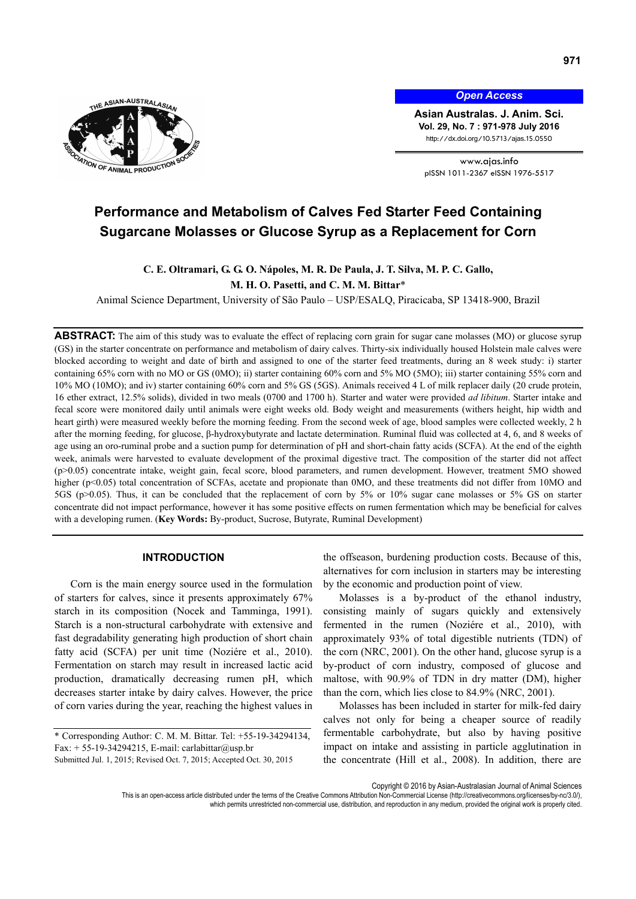

*Open Access*

**Asian Australas. J. Anim. Sci. Vol. 29, No. 7 : 971-978 July 2016**  http://dx.doi.org/10.5713/ajas.15.0550

www.ajas.info pISSN 1011-2367 eISSN 1976-5517

# **Performance and Metabolism of Calves Fed Starter Feed Containing Sugarcane Molasses or Glucose Syrup as a Replacement for Corn**

# **C. E. Oltramari, G. G. O. Nápoles, M. R. De Paula, J. T. Silva, M. P. C. Gallo,**

**M. H. O. Pasetti, and C. M. M. Bittar**\*

Animal Science Department, University of São Paulo – USP/ESALQ, Piracicaba, SP 13418-900, Brazil

**ABSTRACT:** The aim of this study was to evaluate the effect of replacing corn grain for sugar cane molasses (MO) or glucose syrup (GS) in the starter concentrate on performance and metabolism of dairy calves. Thirty-six individually housed Holstein male calves were blocked according to weight and date of birth and assigned to one of the starter feed treatments, during an 8 week study: i) starter containing 65% corn with no MO or GS (0MO); ii) starter containing 60% corn and 5% MO (5MO); iii) starter containing 55% corn and 10% MO (10MO); and iv) starter containing 60% corn and 5% GS (5GS). Animals received 4 L of milk replacer daily (20 crude protein, 16 ether extract, 12.5% solids), divided in two meals (0700 and 1700 h). Starter and water were provided *ad libitum*. Starter intake and fecal score were monitored daily until animals were eight weeks old. Body weight and measurements (withers height, hip width and heart girth) were measured weekly before the morning feeding. From the second week of age, blood samples were collected weekly, 2 h after the morning feeding, for glucose, β-hydroxybutyrate and lactate determination. Ruminal fluid was collected at 4, 6, and 8 weeks of age using an oro-ruminal probe and a suction pump for determination of pH and short-chain fatty acids (SCFA). At the end of the eighth week, animals were harvested to evaluate development of the proximal digestive tract. The composition of the starter did not affect (p>0.05) concentrate intake, weight gain, fecal score, blood parameters, and rumen development. However, treatment 5MO showed higher (p<0.05) total concentration of SCFAs, acetate and propionate than 0MO, and these treatments did not differ from 10MO and 5GS (p>0.05). Thus, it can be concluded that the replacement of corn by 5% or 10% sugar cane molasses or 5% GS on starter concentrate did not impact performance, however it has some positive effects on rumen fermentation which may be beneficial for calves with a developing rumen. (**Key Words:** By-product, Sucrose, Butyrate, Ruminal Development)

# **INTRODUCTION**

Corn is the main energy source used in the formulation of starters for calves, since it presents approximately 67% starch in its composition (Nocek and Tamminga, 1991). Starch is a non-structural carbohydrate with extensive and fast degradability generating high production of short chain fatty acid (SCFA) per unit time (Noziére et al., 2010). Fermentation on starch may result in increased lactic acid production, dramatically decreasing rumen pH, which decreases starter intake by dairy calves. However, the price of corn varies during the year, reaching the highest values in the offseason, burdening production costs. Because of this, alternatives for corn inclusion in starters may be interesting by the economic and production point of view.

Molasses is a by-product of the ethanol industry, consisting mainly of sugars quickly and extensively fermented in the rumen (Noziére et al., 2010), with approximately 93% of total digestible nutrients (TDN) of the corn (NRC, 2001). On the other hand, glucose syrup is a by-product of corn industry, composed of glucose and maltose, with 90.9% of TDN in dry matter (DM), higher than the corn, which lies close to 84.9% (NRC, 2001).

Molasses has been included in starter for milk-fed dairy calves not only for being a cheaper source of readily fermentable carbohydrate, but also by having positive impact on intake and assisting in particle agglutination in the concentrate (Hill et al., 2008). In addition, there are

Copyright © 2016 by Asian-Australasian Journal of Animal Sciences

<sup>\*</sup> Corresponding Author: C. M. M. Bittar. Tel: +55-19-34294134, Fax:  $+ 55-19-34294215$ , E-mail: carlabittar@usp.br Submitted Jul. 1, 2015; Revised Oct. 7, 2015; Accepted Oct. 30, 2015

This is an open-access article distributed under the terms of the Creative Commons Attribution Non-Commercial License (http://creativecommons.org/licenses/by-nc/3.0/), which permits unrestricted non-commercial use, distribution, and reproduction in any medium, provided the original work is properly cited.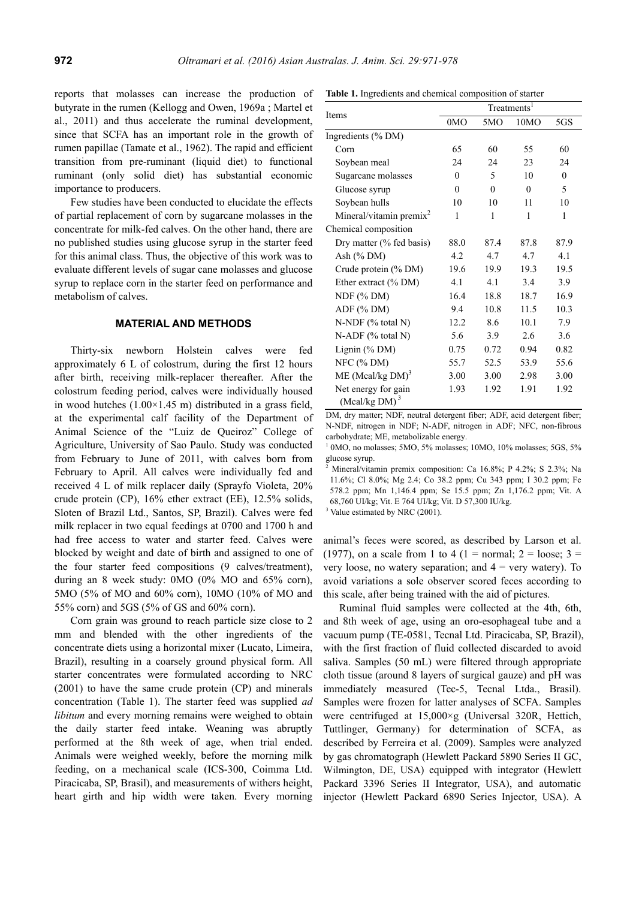reports that molasses can increase the production of butyrate in the rumen (Kellogg and Owen, 1969a ; Martel et al., 2011) and thus accelerate the ruminal development, since that SCFA has an important role in the growth of rumen papillae (Tamate et al., 1962). The rapid and efficient transition from pre-ruminant (liquid diet) to functional ruminant (only solid diet) has substantial economic importance to producers.

Few studies have been conducted to elucidate the effects of partial replacement of corn by sugarcane molasses in the concentrate for milk-fed calves. On the other hand, there are no published studies using glucose syrup in the starter feed for this animal class. Thus, the objective of this work was to evaluate different levels of sugar cane molasses and glucose syrup to replace corn in the starter feed on performance and metabolism of calves.

#### **MATERIAL AND METHODS**

Thirty-six newborn Holstein calves were fed approximately 6 L of colostrum, during the first 12 hours after birth, receiving milk-replacer thereafter. After the colostrum feeding period, calves were individually housed in wood hutches  $(1.00 \times 1.45 \text{ m})$  distributed in a grass field, at the experimental calf facility of the Department of Animal Science of the "Luiz de Queiroz" College of Agriculture, University of Sao Paulo. Study was conducted from February to June of 2011, with calves born from February to April. All calves were individually fed and received 4 L of milk replacer daily (Sprayfo Violeta, 20% crude protein (CP), 16% ether extract (EE), 12.5% solids, Sloten of Brazil Ltd., Santos, SP, Brazil). Calves were fed milk replacer in two equal feedings at 0700 and 1700 h and had free access to water and starter feed. Calves were blocked by weight and date of birth and assigned to one of the four starter feed compositions (9 calves/treatment), during an 8 week study: 0MO (0% MO and 65% corn), 5MO (5% of MO and 60% corn), 10MO (10% of MO and 55% corn) and 5GS (5% of GS and 60% corn).

Corn grain was ground to reach particle size close to 2 mm and blended with the other ingredients of the concentrate diets using a horizontal mixer (Lucato, Limeira, Brazil), resulting in a coarsely ground physical form. All starter concentrates were formulated according to NRC (2001) to have the same crude protein (CP) and minerals concentration (Table 1). The starter feed was supplied *ad libitum* and every morning remains were weighed to obtain the daily starter feed intake. Weaning was abruptly performed at the 8th week of age, when trial ended. Animals were weighed weekly, before the morning milk feeding, on a mechanical scale (ICS-300, Coimma Ltd. Piracicaba, SP, Brasil), and measurements of withers height, heart girth and hip width were taken. Every morning

|  | Table 1. Ingredients and chemical composition of starter |  |
|--|----------------------------------------------------------|--|
|  |                                                          |  |

|                                         | Treatments <sup>1</sup> |          |          |          |  |  |  |
|-----------------------------------------|-------------------------|----------|----------|----------|--|--|--|
| Items                                   | 0MO                     | 5MO      | 10MO     | 5GS      |  |  |  |
| Ingredients (% DM)                      |                         |          |          |          |  |  |  |
| Corn                                    | 65                      | 60       | 55       | 60       |  |  |  |
| Soybean meal                            | 24                      | 24       | 23       | 24       |  |  |  |
| Sugarcane molasses                      | $\Omega$                | 5        | 10       | $\theta$ |  |  |  |
| Glucose syrup                           | $\theta$                | $\theta$ | $\theta$ | 5        |  |  |  |
| Soybean hulls                           | 10                      | 10       | 11       | 10       |  |  |  |
| Mineral/vitamin premix <sup>2</sup>     | 1                       | 1        | 1        | 1        |  |  |  |
| Chemical composition                    |                         |          |          |          |  |  |  |
| Dry matter (% fed basis)                | 88.0                    | 87.4     | 87.8     | 87.9     |  |  |  |
| Ash $(\%$ DM)                           | 4.2                     | 4.7      | 4.7      | 4.1      |  |  |  |
| Crude protein (% DM)                    | 19.6                    | 19.9     | 19.3     | 19.5     |  |  |  |
| Ether extract (% DM)                    | 4.1                     | 4.1      | 3.4      | 3.9      |  |  |  |
| $NDF$ (% DM)                            | 16.4                    | 18.8     | 18.7     | 16.9     |  |  |  |
| ADF (% DM)                              | 9.4                     | 10.8     | 11.5     | 10.3     |  |  |  |
| $N-NDF$ (% total N)                     | 12.2                    | 8.6      | 10.1     | 7.9      |  |  |  |
| $N-ADF$ (% total N)                     | 5.6                     | 3.9      | 2.6      | 3.6      |  |  |  |
| Lignin (% DM)                           | 0.75                    | 0.72     | 0.94     | 0.82     |  |  |  |
| NFC $(%DM)$                             | 55.7                    | 52.5     | 53.9     | 55.6     |  |  |  |
| ME (Mcal/kg $DM$ ) <sup>3</sup>         | 3.00                    | 3.00     | 2.98     | 3.00     |  |  |  |
| Net energy for gain<br>(Mcal/kg DM) $3$ | 1.93                    | 1.92     | 1.91     | 1.92     |  |  |  |

DM, dry matter; NDF, neutral detergent fiber; ADF, acid detergent fiber; N-NDF, nitrogen in NDF; N-ADF, nitrogen in ADF; NFC, non-fibrous carbohydrate; ME, metabolizable energy.

<sup>1</sup> 0MO, no molasses; 5MO, 5% molasses; 10MO, 10% molasses; 5GS, 5% glucose syrup.

 Mineral/vitamin premix composition: Ca 16.8%; P 4.2%; S 2.3%; Na 11.6%; Cl 8.0%; Mg 2.4; Co 38.2 ppm; Cu 343 ppm; I 30.2 ppm; Fe 578.2 ppm; Mn 1,146.4 ppm; Se 15.5 ppm; Zn 1,176.2 ppm; Vit. A 68,760 UI/kg; Vit. E 764 UI/kg; Vit. D 57,300 IU/kg.

<sup>3</sup> Value estimated by NRC (2001).

2

animal's feces were scored, as described by Larson et al. (1977), on a scale from 1 to 4 (1 = normal;  $2 = \text{loose}$ ; 3 = very loose, no watery separation; and  $4 =$  very watery). To avoid variations a sole observer scored feces according to this scale, after being trained with the aid of pictures.

Ruminal fluid samples were collected at the 4th, 6th, and 8th week of age, using an oro-esophageal tube and a vacuum pump (TE-0581, Tecnal Ltd. Piracicaba, SP, Brazil), with the first fraction of fluid collected discarded to avoid saliva. Samples (50 mL) were filtered through appropriate cloth tissue (around 8 layers of surgical gauze) and pH was immediately measured (Tec-5, Tecnal Ltda., Brasil). Samples were frozen for latter analyses of SCFA. Samples were centrifuged at 15,000×g (Universal 320R, Hettich, Tuttlinger, Germany) for determination of SCFA, as described by Ferreira et al. (2009). Samples were analyzed by gas chromatograph (Hewlett Packard 5890 Series II GC, Wilmington, DE, USA) equipped with integrator (Hewlett Packard 3396 Series II Integrator, USA), and automatic injector (Hewlett Packard 6890 Series Injector, USA). A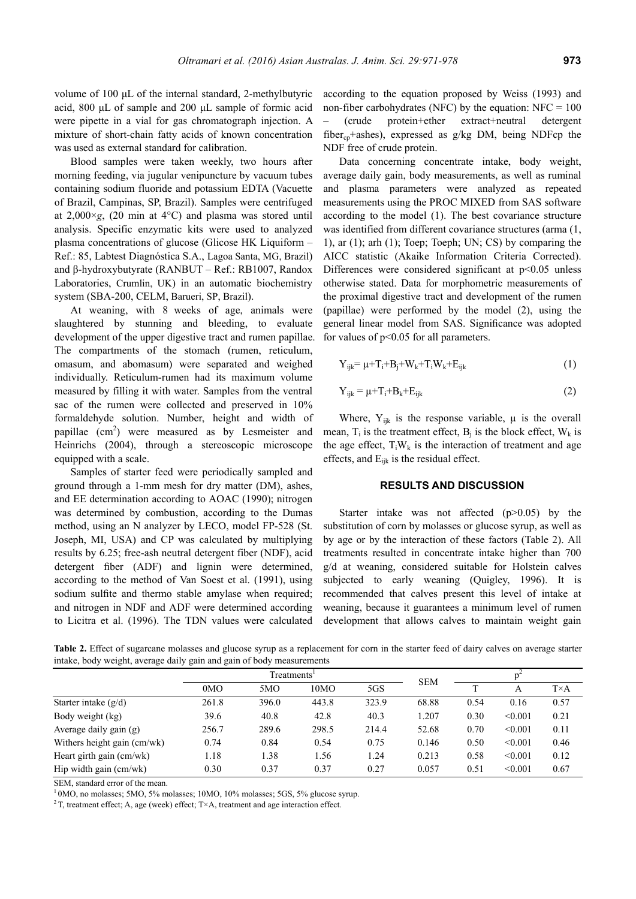volume of 100 μL of the internal standard, 2-methylbutyric acid, 800 μL of sample and 200 μL sample of formic acid were pipette in a vial for gas chromatograph injection. A mixture of short-chain fatty acids of known concentration was used as external standard for calibration.

Blood samples were taken weekly, two hours after morning feeding, via jugular venipuncture by vacuum tubes containing sodium fluoride and potassium EDTA (Vacuette of Brazil, Campinas, SP, Brazil). Samples were centrifuged at  $2,000 \times g$ , (20 min at 4 $\degree$ C) and plasma was stored until analysis. Specific enzymatic kits were used to analyzed plasma concentrations of glucose (Glicose HK Liquiform – Ref.: 85, Labtest Diagnóstica S.A., Lagoa Santa, MG, Brazil) and β-hydroxybutyrate (RANBUT – Ref.: RB1007, Randox Laboratories, Crumlin, UK) in an automatic biochemistry system (SBA-200, CELM, Barueri, SP, Brazil).

At weaning, with 8 weeks of age, animals were slaughtered by stunning and bleeding, to evaluate development of the upper digestive tract and rumen papillae. The compartments of the stomach (rumen, reticulum, omasum, and abomasum) were separated and weighed individually. Reticulum-rumen had its maximum volume measured by filling it with water. Samples from the ventral sac of the rumen were collected and preserved in 10% formaldehyde solution. Number, height and width of papillae  $(cm<sup>2</sup>)$  were measured as by Lesmeister and Heinrichs (2004), through a stereoscopic microscope equipped with a scale.

Samples of starter feed were periodically sampled and ground through a 1-mm mesh for dry matter (DM), ashes, and EE determination according to AOAC (1990); nitrogen was determined by combustion, according to the Dumas method, using an N analyzer by LECO, model FP-528 (St. Joseph, MI, USA) and CP was calculated by multiplying results by 6.25; free-ash neutral detergent fiber (NDF), acid detergent fiber (ADF) and lignin were determined, according to the method of Van Soest et al. (1991), using sodium sulfite and thermo stable amylase when required; and nitrogen in NDF and ADF were determined according to Licitra et al. (1996). The TDN values were calculated

according to the equation proposed by Weiss (1993) and non-fiber carbohydrates (NFC) by the equation:  $NFC = 100$ – (crude protein+ether extract+neutral detergent fiber<sub>cp</sub>+ashes), expressed as  $g/kg$  DM, being NDFcp the NDF free of crude protein.

Data concerning concentrate intake, body weight, average daily gain, body measurements, as well as ruminal and plasma parameters were analyzed as repeated measurements using the PROC MIXED from SAS software according to the model (1). The best covariance structure was identified from different covariance structures (arma (1, 1), ar (1); arh (1); Toep; Toeph; UN; CS) by comparing the AICC statistic (Akaike Information Criteria Corrected). Differences were considered significant at  $p<0.05$  unless otherwise stated. Data for morphometric measurements of the proximal digestive tract and development of the rumen (papillae) were performed by the model (2), using the general linear model from SAS. Significance was adopted for values of p<0.05 for all parameters.

$$
Y_{ijk} = \mu + T_i + B_i + W_k + T_i W_k + E_{ijk}
$$
 (1)

$$
Y_{ijk} = \mu + T_i + B_k + E_{ijk} \tag{2}
$$

Where,  $Y_{ijk}$  is the response variable,  $\mu$  is the overall mean,  $T_i$  is the treatment effect,  $B_i$  is the block effect,  $W_k$  is the age effect,  $T_iW_k$  is the interaction of treatment and age effects, and  $E_{ijk}$  is the residual effect.

### **RESULTS AND DISCUSSION**

Starter intake was not affected (p>0.05) by the substitution of corn by molasses or glucose syrup, as well as by age or by the interaction of these factors (Table 2). All treatments resulted in concentrate intake higher than 700 g/d at weaning, considered suitable for Holstein calves subjected to early weaning (Quigley, 1996). It is recommended that calves present this level of intake at weaning, because it guarantees a minimum level of rumen development that allows calves to maintain weight gain

Table 2. Effect of sugarcane molasses and glucose syrup as a replacement for corn in the starter feed of dairy calves on average starter intake, body weight, average daily gain and gain of body measurements

|                             | Treatments <sup>1</sup> |       |       |       | <b>SEM</b> |      |         |              |
|-----------------------------|-------------------------|-------|-------|-------|------------|------|---------|--------------|
|                             | 0 <sub>MO</sub>         | 5MO   | 10MO  | 5GS   |            |      | А       | $T \times A$ |
| Starter intake $(g/d)$      | 261.8                   | 396.0 | 443.8 | 323.9 | 68.88      | 0.54 | 0.16    | 0.57         |
| Body weight (kg)            | 39.6                    | 40.8  | 42.8  | 40.3  | 1.207      | 0.30 | < 0.001 | 0.21         |
| Average daily gain (g)      | 256.7                   | 289.6 | 298.5 | 214.4 | 52.68      | 0.70 | < 0.001 | 0.11         |
| Withers height gain (cm/wk) | 0.74                    | 0.84  | 0.54  | 0.75  | 0.146      | 0.50 | < 0.001 | 0.46         |
| Heart girth gain (cm/wk)    | 1.18                    | 1.38  | 1.56  | 1.24  | 0.213      | 0.58 | < 0.001 | 0.12         |
| Hip width gain (cm/wk)      | 0.30                    | 0.37  | 0.37  | 0.27  | 0.057      | 0.51 | < 0.001 | 0.67         |

SEM, standard error of the mean.

<sup>1</sup> 0MO, no molasses; 5MO, 5% molasses; 10MO, 10% molasses; 5GS, 5% glucose syrup. <sup>2</sup> T, treatment effect; A, age (week) effect; T×A, treatment and age interaction effect.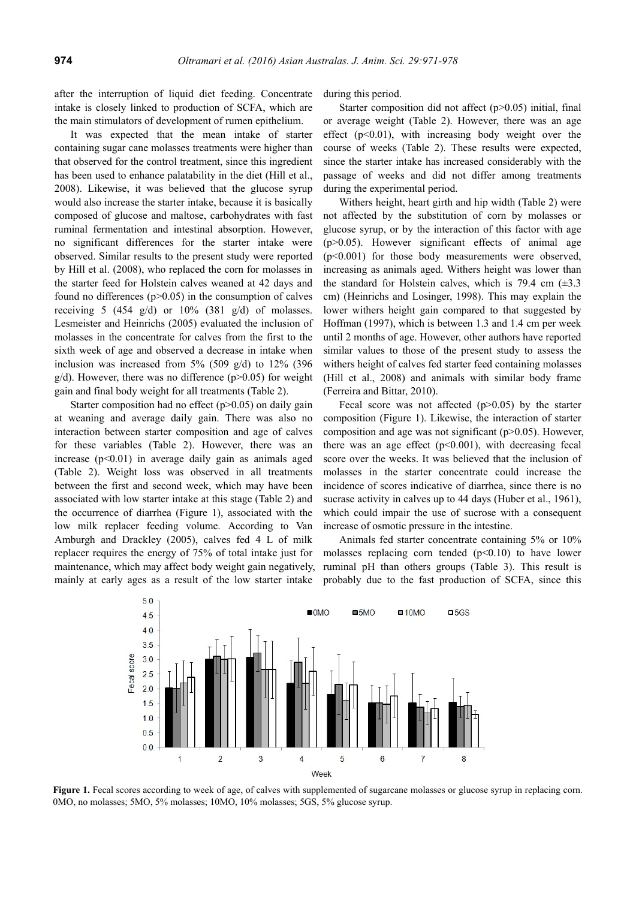after the interruption of liquid diet feeding. Concentrate intake is closely linked to production of SCFA, which are the main stimulators of development of rumen epithelium.

It was expected that the mean intake of starter containing sugar cane molasses treatments were higher than that observed for the control treatment, since this ingredient has been used to enhance palatability in the diet (Hill et al., 2008). Likewise, it was believed that the glucose syrup would also increase the starter intake, because it is basically composed of glucose and maltose, carbohydrates with fast ruminal fermentation and intestinal absorption. However, no significant differences for the starter intake were observed. Similar results to the present study were reported by Hill et al. (2008), who replaced the corn for molasses in the starter feed for Holstein calves weaned at 42 days and found no differences  $(p>0.05)$  in the consumption of calves receiving 5 (454 g/d) or  $10\%$  (381 g/d) of molasses. Lesmeister and Heinrichs (2005) evaluated the inclusion of molasses in the concentrate for calves from the first to the sixth week of age and observed a decrease in intake when inclusion was increased from  $5\%$  (509 g/d) to 12% (396  $g/d$ ). However, there was no difference ( $p > 0.05$ ) for weight gain and final body weight for all treatments (Table 2).

Starter composition had no effect  $(p>0.05)$  on daily gain at weaning and average daily gain. There was also no interaction between starter composition and age of calves for these variables (Table 2). However, there was an increase  $(p<0.01)$  in average daily gain as animals aged (Table 2). Weight loss was observed in all treatments between the first and second week, which may have been associated with low starter intake at this stage (Table 2) and the occurrence of diarrhea (Figure 1), associated with the low milk replacer feeding volume. According to Van Amburgh and Drackley (2005), calves fed 4 L of milk replacer requires the energy of 75% of total intake just for maintenance, which may affect body weight gain negatively, mainly at early ages as a result of the low starter intake

during this period.

Starter composition did not affect (p>0.05) initial, final or average weight (Table 2). However, there was an age effect  $(p<0.01)$ , with increasing body weight over the course of weeks (Table 2). These results were expected, since the starter intake has increased considerably with the passage of weeks and did not differ among treatments during the experimental period.

Withers height, heart girth and hip width (Table 2) were not affected by the substitution of corn by molasses or glucose syrup, or by the interaction of this factor with age  $(p>0.05)$ . However significant effects of animal age (p<0.001) for those body measurements were observed, increasing as animals aged. Withers height was lower than the standard for Holstein calves, which is 79.4 cm  $(\pm 3.3)$ cm) (Heinrichs and Losinger, 1998). This may explain the lower withers height gain compared to that suggested by Hoffman (1997), which is between 1.3 and 1.4 cm per week until 2 months of age. However, other authors have reported similar values to those of the present study to assess the withers height of calves fed starter feed containing molasses (Hill et al., 2008) and animals with similar body frame (Ferreira and Bittar, 2010).

Fecal score was not affected  $(p>0.05)$  by the starter composition (Figure 1). Likewise, the interaction of starter composition and age was not significant  $(p>0.05)$ . However, there was an age effect  $(p<0.001)$ , with decreasing fecal score over the weeks. It was believed that the inclusion of molasses in the starter concentrate could increase the incidence of scores indicative of diarrhea, since there is no sucrase activity in calves up to 44 days (Huber et al., 1961), which could impair the use of sucrose with a consequent increase of osmotic pressure in the intestine.

Animals fed starter concentrate containing 5% or 10% molasses replacing corn tended  $(p<0.10)$  to have lower ruminal pH than others groups (Table 3). This result is probably due to the fast production of SCFA, since this



**Figure 1.** Fecal scores according to week of age, of calves with supplemented of sugarcane molasses or glucose syrup in replacing corn. 0MO, no molasses; 5MO, 5% molasses; 10MO, 10% molasses; 5GS, 5% glucose syrup.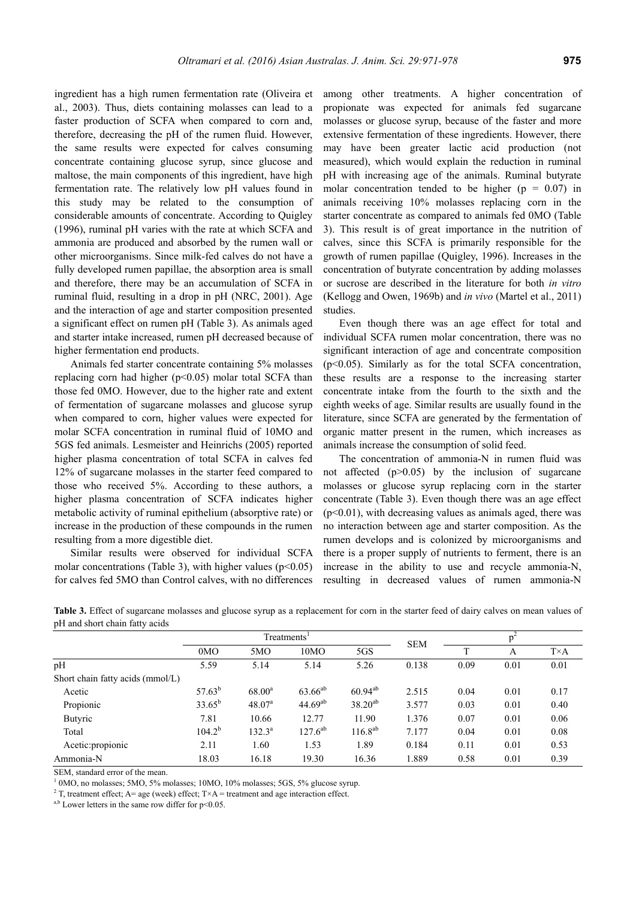ingredient has a high rumen fermentation rate (Oliveira et al., 2003). Thus, diets containing molasses can lead to a faster production of SCFA when compared to corn and, therefore, decreasing the pH of the rumen fluid. However, the same results were expected for calves consuming concentrate containing glucose syrup, since glucose and maltose, the main components of this ingredient, have high fermentation rate. The relatively low pH values found in this study may be related to the consumption of considerable amounts of concentrate. According to Quigley (1996), ruminal pH varies with the rate at which SCFA and ammonia are produced and absorbed by the rumen wall or other microorganisms. Since milk-fed calves do not have a fully developed rumen papillae, the absorption area is small and therefore, there may be an accumulation of SCFA in ruminal fluid, resulting in a drop in pH (NRC, 2001). Age and the interaction of age and starter composition presented a significant effect on rumen pH (Table 3). As animals aged and starter intake increased, rumen pH decreased because of higher fermentation end products.

Animals fed starter concentrate containing 5% molasses replacing corn had higher ( $p$ <0.05) molar total SCFA than those fed 0MO. However, due to the higher rate and extent of fermentation of sugarcane molasses and glucose syrup when compared to corn, higher values were expected for molar SCFA concentration in ruminal fluid of 10MO and 5GS fed animals. Lesmeister and Heinrichs (2005) reported higher plasma concentration of total SCFA in calves fed 12% of sugarcane molasses in the starter feed compared to those who received 5%. According to these authors, a higher plasma concentration of SCFA indicates higher metabolic activity of ruminal epithelium (absorptive rate) or increase in the production of these compounds in the rumen resulting from a more digestible diet.

Similar results were observed for individual SCFA molar concentrations (Table 3), with higher values ( $p<0.05$ ) for calves fed 5MO than Control calves, with no differences among other treatments. A higher concentration of propionate was expected for animals fed sugarcane molasses or glucose syrup, because of the faster and more extensive fermentation of these ingredients. However, there may have been greater lactic acid production (not measured), which would explain the reduction in ruminal pH with increasing age of the animals. Ruminal butyrate molar concentration tended to be higher ( $p = 0.07$ ) in animals receiving 10% molasses replacing corn in the starter concentrate as compared to animals fed 0MO (Table 3). This result is of great importance in the nutrition of calves, since this SCFA is primarily responsible for the growth of rumen papillae (Quigley, 1996). Increases in the concentration of butyrate concentration by adding molasses or sucrose are described in the literature for both *in vitro* (Kellogg and Owen, 1969b) and *in vivo* (Martel et al., 2011) studies.

Even though there was an age effect for total and individual SCFA rumen molar concentration, there was no significant interaction of age and concentrate composition (p<0.05). Similarly as for the total SCFA concentration, these results are a response to the increasing starter concentrate intake from the fourth to the sixth and the eighth weeks of age. Similar results are usually found in the literature, since SCFA are generated by the fermentation of organic matter present in the rumen, which increases as animals increase the consumption of solid feed.

The concentration of ammonia-N in rumen fluid was not affected  $(p>0.05)$  by the inclusion of sugarcane molasses or glucose syrup replacing corn in the starter concentrate (Table 3). Even though there was an age effect  $(p<0.01)$ , with decreasing values as animals aged, there was no interaction between age and starter composition. As the rumen develops and is colonized by microorganisms and there is a proper supply of nutrients to ferment, there is an increase in the ability to use and recycle ammonia-N, resulting in decreased values of rumen ammonia-N

| ╯                                |                         |                    |              |              |            |      |      |              |
|----------------------------------|-------------------------|--------------------|--------------|--------------|------------|------|------|--------------|
|                                  | Treatments <sup>1</sup> |                    |              |              | <b>SEM</b> |      |      |              |
|                                  | 0MO                     | 5MO                | 10MO         | 5GS          |            | T    | A    | $T \times A$ |
| pН                               | 5.59                    | 5.14               | 5.14         | 5.26         | 0.138      | 0.09 | 0.01 | 0.01         |
| Short chain fatty acids (mmol/L) |                         |                    |              |              |            |      |      |              |
| Acetic                           | $57.63^{b}$             | $68.00^a$          | $63.66^{ab}$ | $60.94^{ab}$ | 2.515      | 0.04 | 0.01 | 0.17         |
| Propionic                        | $33.65^{b}$             | 48.07 <sup>a</sup> | $44.69^{ab}$ | $38.20^{ab}$ | 3.577      | 0.03 | 0.01 | 0.40         |
| <b>Butyric</b>                   | 7.81                    | 10.66              | 12.77        | 11.90        | 1.376      | 0.07 | 0.01 | 0.06         |
| Total                            | $104.2^b$               | $132.3^a$          | $127.6^{ab}$ | $116.8^{ab}$ | 7.177      | 0.04 | 0.01 | 0.08         |
| Acetic: propionic                | 2.11                    | 1.60               | 1.53         | 1.89         | 0.184      | 0.11 | 0.01 | 0.53         |
| Ammonia-N                        | 18.03                   | 16.18              | 19.30        | 16.36        | 1.889      | 0.58 | 0.01 | 0.39         |

Table 3. Effect of sugarcane molasses and glucose syrup as a replacement for corn in the starter feed of dairy calves on mean values of pH and short chain fatty acids

SEM, standard error of the mean.

<sup>1</sup> 0MO, no molasses; 5MO, 5% molasses; 10MO, 10% molasses; 5GS, 5% glucose syrup.

<sup>2</sup> T, treatment effect; A= age (week) effect; T×A = treatment and age interaction effect.

 $a,b$  Lower letters in the same row differ for p<0.05.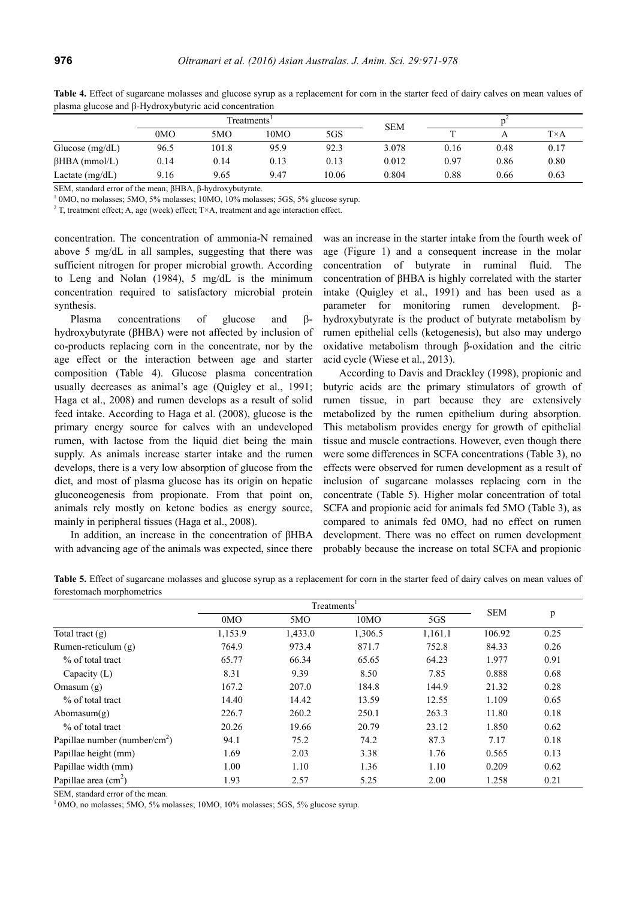|                      | Treatments <sup>1</sup> |       |      |       | <b>SEM</b> |      |      |              |
|----------------------|-------------------------|-------|------|-------|------------|------|------|--------------|
|                      | 0MO                     | 5MO   | 10MO | 5GS   |            |      |      | $T \times A$ |
| Glucose $(mg/dL)$    | 96.5                    | 101.8 | 95.9 | 92.3  | 3.078      | 0.16 | 0.48 | 0.17         |
| $\beta$ HBA (mmol/L) | 0.14                    | 0.14  | 0.13 | 0.13  | 0.012      | 0.97 | 0.86 | 0.80         |
| Lactate $(mg/dL)$    | 9.16                    | 9.65  | 9.47 | 10.06 | 0.804      | 0.88 | 0.66 | 0.63         |

Table 4. Effect of sugarcane molasses and glucose syrup as a replacement for corn in the starter feed of dairy calves on mean values of plasma glucose and β-Hydroxybutyric acid concentration

SEM, standard error of the mean; βHBA, β-hydroxybutyrate.

 $\frac{1}{1}$  0MO, no molasses; 5MO, 5% molasses; 10MO, 10% molasses; 5GS, 5% glucose syrup.

 $2$  T, treatment effect; A, age (week) effect; T $\times$ A, treatment and age interaction effect.

concentration. The concentration of ammonia-N remained above 5 mg/dL in all samples, suggesting that there was sufficient nitrogen for proper microbial growth. According to Leng and Nolan (1984), 5 mg/dL is the minimum concentration required to satisfactory microbial protein synthesis.

Plasma concentrations of glucose and βhydroxybutyrate (βHBA) were not affected by inclusion of co-products replacing corn in the concentrate, nor by the age effect or the interaction between age and starter composition (Table 4). Glucose plasma concentration usually decreases as animal's age (Quigley et al., 1991; Haga et al., 2008) and rumen develops as a result of solid feed intake. According to Haga et al. (2008), glucose is the primary energy source for calves with an undeveloped rumen, with lactose from the liquid diet being the main supply. As animals increase starter intake and the rumen develops, there is a very low absorption of glucose from the diet, and most of plasma glucose has its origin on hepatic gluconeogenesis from propionate. From that point on, animals rely mostly on ketone bodies as energy source, mainly in peripheral tissues (Haga et al., 2008).

In addition, an increase in the concentration of βHBA with advancing age of the animals was expected, since there was an increase in the starter intake from the fourth week of age (Figure 1) and a consequent increase in the molar concentration of butyrate in ruminal fluid. The concentration of βHBA is highly correlated with the starter intake (Quigley et al., 1991) and has been used as a parameter for monitoring rumen development. βhydroxybutyrate is the product of butyrate metabolism by rumen epithelial cells (ketogenesis), but also may undergo oxidative metabolism through β-oxidation and the citric acid cycle (Wiese et al., 2013).

According to Davis and Drackley (1998), propionic and butyric acids are the primary stimulators of growth of rumen tissue, in part because they are extensively metabolized by the rumen epithelium during absorption. This metabolism provides energy for growth of epithelial tissue and muscle contractions. However, even though there were some differences in SCFA concentrations (Table 3), no effects were observed for rumen development as a result of inclusion of sugarcane molasses replacing corn in the concentrate (Table 5). Higher molar concentration of total SCFA and propionic acid for animals fed 5MO (Table 3), as compared to animals fed 0MO, had no effect on rumen development. There was no effect on rumen development probably because the increase on total SCFA and propionic

Table 5. Effect of sugarcane molasses and glucose syrup as a replacement for corn in the starter feed of dairy calves on mean values of forestomach morphometrics

|                                           |                 | <b>SEM</b> |         |         |        |      |
|-------------------------------------------|-----------------|------------|---------|---------|--------|------|
|                                           | 0 <sub>MO</sub> | 5MO        | 10MO    | 5GS     |        | p    |
| Total tract $(g)$                         | 1,153.9         | 1,433.0    | 1,306.5 | 1,161.1 | 106.92 | 0.25 |
| Rumen-reticulum $(g)$                     | 764.9           | 973.4      | 871.7   | 752.8   | 84.33  | 0.26 |
| % of total tract                          | 65.77           | 66.34      | 65.65   | 64.23   | 1.977  | 0.91 |
| Capacity $(L)$                            | 8.31            | 9.39       | 8.50    | 7.85    | 0.888  | 0.68 |
| Omasum $(g)$                              | 167.2           | 207.0      | 184.8   | 144.9   | 21.32  | 0.28 |
| % of total tract                          | 14.40           | 14.42      | 13.59   | 12.55   | 1.109  | 0.65 |
| Abomasum( $g$ )                           | 226.7           | 260.2      | 250.1   | 263.3   | 11.80  | 0.18 |
| % of total tract                          | 20.26           | 19.66      | 20.79   | 23.12   | 1.850  | 0.62 |
| Papillae number (number/cm <sup>2</sup> ) | 94.1            | 75.2       | 74.2    | 87.3    | 7.17   | 0.18 |
| Papillae height (mm)                      | 1.69            | 2.03       | 3.38    | 1.76    | 0.565  | 0.13 |
| Papillae width (mm)                       | 1.00            | 1.10       | 1.36    | 1.10    | 0.209  | 0.62 |
| Papillae area $\text{cm}^2$ )             | 1.93            | 2.57       | 5.25    | 2.00    | 1.258  | 0.21 |

SEM, standard error of the mean.

 $10$ MO, no molasses; 5MO, 5% molasses; 10MO, 10% molasses; 5GS, 5% glucose syrup.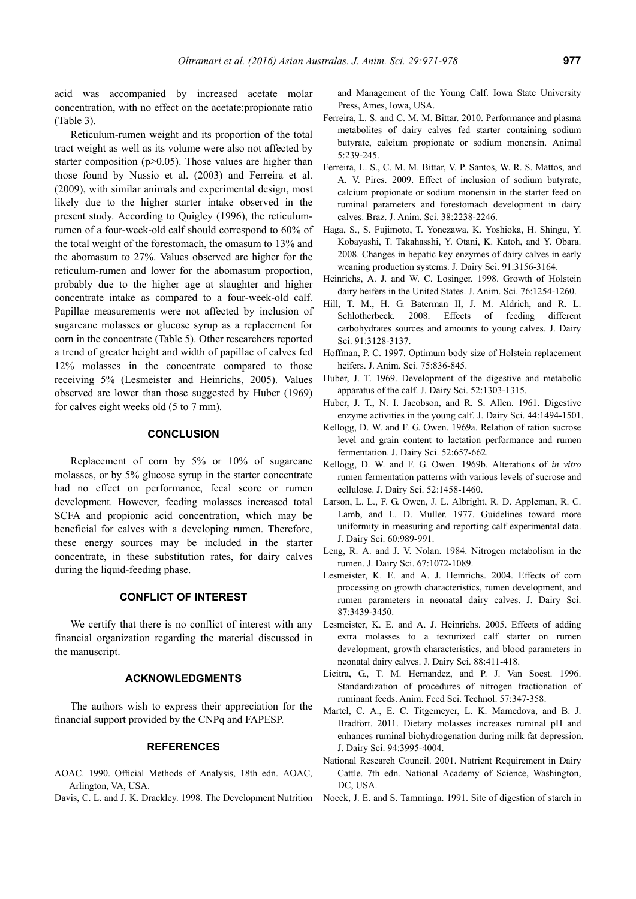acid was accompanied by increased acetate molar concentration, with no effect on the acetate:propionate ratio (Table 3).

Reticulum-rumen weight and its proportion of the total tract weight as well as its volume were also not affected by starter composition  $(p>0.05)$ . Those values are higher than those found by Nussio et al. (2003) and Ferreira et al. (2009), with similar animals and experimental design, most likely due to the higher starter intake observed in the present study. According to Quigley (1996), the reticulumrumen of a four-week-old calf should correspond to 60% of the total weight of the forestomach, the omasum to 13% and the abomasum to 27%. Values observed are higher for the reticulum-rumen and lower for the abomasum proportion, probably due to the higher age at slaughter and higher concentrate intake as compared to a four-week-old calf. Papillae measurements were not affected by inclusion of sugarcane molasses or glucose syrup as a replacement for corn in the concentrate (Table 5). Other researchers reported a trend of greater height and width of papillae of calves fed 12% molasses in the concentrate compared to those receiving 5% (Lesmeister and Heinrichs, 2005). Values observed are lower than those suggested by Huber (1969) for calves eight weeks old (5 to 7 mm).

#### **CONCLUSION**

Replacement of corn by 5% or 10% of sugarcane molasses, or by 5% glucose syrup in the starter concentrate had no effect on performance, fecal score or rumen development. However, feeding molasses increased total SCFA and propionic acid concentration, which may be beneficial for calves with a developing rumen. Therefore, these energy sources may be included in the starter concentrate, in these substitution rates, for dairy calves during the liquid-feeding phase.

# **CONFLICT OF INTEREST**

We certify that there is no conflict of interest with any financial organization regarding the material discussed in the manuscript.

#### **ACKNOWLEDGMENTS**

The authors wish to express their appreciation for the financial support provided by the CNPq and FAPESP.

#### **REFERENCES**

- AOAC. 1990. Official Methods of Analysis, 18th edn. AOAC, Arlington, VA, USA.
- Davis, C. L. and J. K. Drackley. 1998. The Development Nutrition

and Management of the Young Calf. Iowa State University Press, Ames, Iowa, USA.

- Ferreira, L. S. and C. M. M. Bittar. 2010. Performance and plasma metabolites of dairy calves fed starter containing sodium butyrate, calcium propionate or sodium monensin. Animal 5:239-245.
- Ferreira, L. S., C. M. M. Bittar, V. P. Santos, W. R. S. Mattos, and A. V. Pires. 2009. Effect of inclusion of sodium butyrate, calcium propionate or sodium monensin in the starter feed on ruminal parameters and forestomach development in dairy calves. Braz. J. Anim. Sci. 38:2238-2246.
- Haga, S., S. Fujimoto, T. Yonezawa, K. Yoshioka, H. Shingu, Y. Kobayashi, T. Takahasshi, Y. Otani, K. Katoh, and Y. Obara. 2008. Changes in hepatic key enzymes of dairy calves in early weaning production systems. J. Dairy Sci. 91:3156-3164.
- Heinrichs, A. J. and W. C. Losinger. 1998. Growth of Holstein dairy heifers in the United States. J. Anim. Sci. 76:1254-1260.
- Hill, T. M., H. G. Baterman II, J. M. Aldrich, and R. L. Schlotherbeck. 2008. Effects of feeding different carbohydrates sources and amounts to young calves. J. Dairy Sci. 91:3128-3137.
- Hoffman, P. C. 1997. Optimum body size of Holstein replacement heifers. J. Anim. Sci. 75:836-845.
- Huber, J. T. 1969. Development of the digestive and metabolic apparatus of the calf. J. Dairy Sci. 52:1303-1315.
- Huber, J. T., N. I. Jacobson, and R. S. Allen. 1961. Digestive enzyme activities in the young calf. J. Dairy Sci. 44:1494-1501.
- Kellogg, D. W. and F. G. Owen. 1969a. Relation of ration sucrose level and grain content to lactation performance and rumen fermentation. J. Dairy Sci. 52:657-662.
- Kellogg, D. W. and F. G. Owen. 1969b. Alterations of *in vitro*  rumen fermentation patterns with various levels of sucrose and cellulose. J. Dairy Sci. 52:1458-1460.
- Larson, L. L., F. G. Owen, J. L. Albright, R. D. Appleman, R. C. Lamb, and L. D. Muller. 1977. Guidelines toward more uniformity in measuring and reporting calf experimental data. J. Dairy Sci. 60:989-991.
- Leng, R. A. and J. V. Nolan. 1984. Nitrogen metabolism in the rumen. J. Dairy Sci. 67:1072-1089.
- Lesmeister, K. E. and A. J. Heinrichs. 2004. Effects of corn processing on growth characteristics, rumen development, and rumen parameters in neonatal dairy calves. J. Dairy Sci. 87:3439-3450.
- Lesmeister, K. E. and A. J. Heinrichs. 2005. Effects of adding extra molasses to a texturized calf starter on rumen development, growth characteristics, and blood parameters in neonatal dairy calves. J. Dairy Sci. 88:411-418.
- Licitra, G., T. M. Hernandez, and P. J. Van Soest. 1996. Standardization of procedures of nitrogen fractionation of ruminant feeds. Anim. Feed Sci. Technol. 57:347-358.
- Martel, C. A., E. C. Titgemeyer, L. K. Mamedova, and B. J. Bradfort. 2011. Dietary molasses increases ruminal pH and enhances ruminal biohydrogenation during milk fat depression. J. Dairy Sci. 94:3995-4004.
- National Research Council. 2001. Nutrient Requirement in Dairy Cattle. 7th edn. National Academy of Science, Washington, DC, USA.
- Nocek, J. E. and S. Tamminga. 1991. Site of digestion of starch in